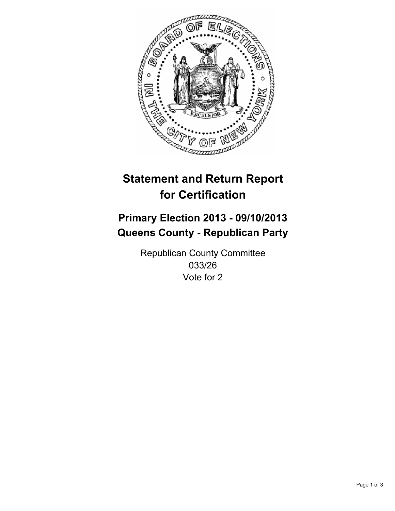

# **Statement and Return Report for Certification**

# **Primary Election 2013 - 09/10/2013 Queens County - Republican Party**

Republican County Committee 033/26 Vote for 2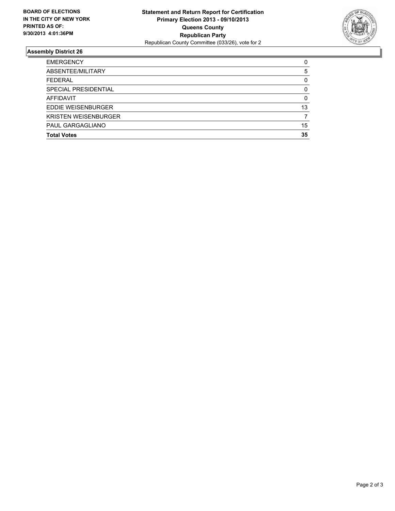

## **Assembly District 26**

| <b>EMERGENCY</b>            | 0  |
|-----------------------------|----|
| ABSENTEE/MILITARY           | 5  |
| <b>FEDERAL</b>              | 0  |
| SPECIAL PRESIDENTIAL        | 0  |
| <b>AFFIDAVIT</b>            | 0  |
| EDDIE WEISENBURGER          | 13 |
| <b>KRISTEN WEISENBURGER</b> |    |
| PAUL GARGAGLIANO            | 15 |
| <b>Total Votes</b>          | 35 |